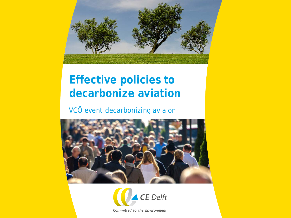

# **Effective policies to decarbonize aviation**

#### VCÖ event decarbonizing aviaion





Committed to the Environment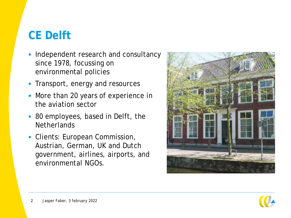# **CE Delft**

- Independent research and consultancy since 1978, focussing on environmental policies
- Transport, energy and resources
- More than 20 years of experience in the aviation sector
- 80 employees, based in Delft, the **Netherlands**
- Clients: European Commission, Austrian, German, UK and Dutch government, airlines, airports, and environmental NGOs.



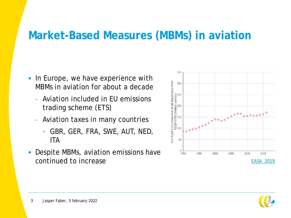#### **Market-Based Measures (MBMs) in aviation**

- In Europe, we have experience with MBMs in aviation for about a decade
	- Aviation included in EU emissions trading scheme (ETS)
	- Aviation taxes in many countries
		- GBR, GER, FRA, SWE, AUT, NED, ITA
- Despite MBMs, aviation emissions have continued to increase



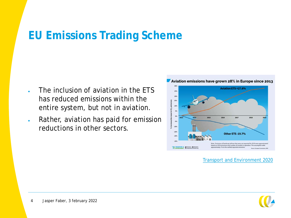## **EU Emissions Trading Scheme**

- The inclusion of aviation in the ETS has reduced emissions within the entire system, but not in aviation.
- Rather, aviation has paid for emission reductions in other sectors.



Aviation emissions have grown 28% in Europe since 2013

[Transport and Environment 2020](https://www.transportenvironment.org/state-aviation-ets/)

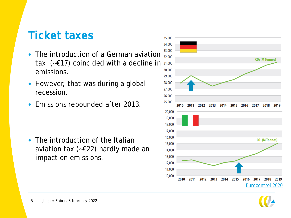## **Ticket taxes**

- The introduction of a German aviation  $\frac{20000}{32,0000}$ tax ( $\text{-}$ £17) coincided with a decline in  $\text{31,000}$ emissions.
- However, that was during a global recession.
- Emissions rebounded after 2013.

• The introduction of the Italian aviation tax (~€22) hardly made an impact on emissions.



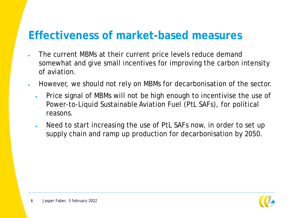#### **Effectiveness of market-based measures**

- The current MBMs at their current price levels reduce demand somewhat and give small incentives for improving the carbon intensity of aviation.
- However, we should not rely on MBMs for decarbonisation of the sector.
	- Price signal of MBMs will not be high enough to incentivise the use of Power-to-Liquid Sustainable Aviation Fuel (PtL SAFs), for political reasons.
	- Need to start increasing the use of PtL SAFs now, in order to set up supply chain and ramp up production for decarbonisation by 2050.

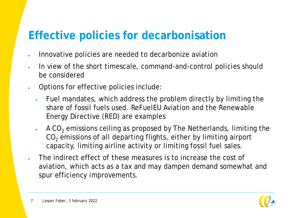## **Effective policies for decarbonisation**

- Innovative policies are needed to decarbonize aviation
- In view of the short timescale, command-and-control policies should be considered
- Options for effective policies include:
	- Fuel mandates, which address the problem directly by limiting the share of fossil fuels used. ReFuelEU Aviation and the Renewable Energy Directive (RED) are examples
	- $\cdot$  A CO<sub>2</sub> emissions ceiling as proposed by The Netherlands, limiting the CO<sub>2</sub> emissions of all departing flights, either by limiting airport capacity, limiting airline activity or limiting fossil fuel sales.
- The indirect effect of these measures is to increase the cost of aviation, which acts as a tax and may dampen demand somewhat and spur efficiency improvements.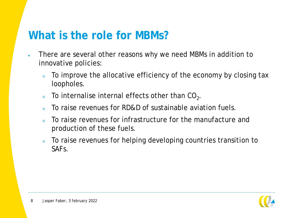#### **What is the role for MBMs?**

- There are several other reasons why we need MBMs in addition to innovative policies:
	- To improve the allocative efficiency of the economy by closing tax loopholes.
	- $\overline{\ }$  To internalise internal effects other than CO<sub>2</sub>.
	- o To raise revenues for RD&D of sustainable aviation fuels.
	- To raise revenues for infrastructure for the manufacture and production of these fuels.
	- . To raise revenues for helping developing countries transition to SAFs.

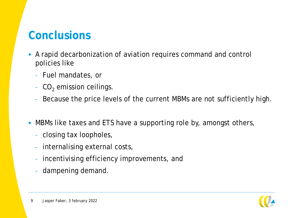## **Conclusions**

- A rapid decarbonization of aviation requires command and control policies like
	- Fuel mandates, or
	- $-CO<sub>2</sub>$  emission ceilings.
	- Because the price levels of the current MBMs are not sufficiently high.
- MBMs like taxes and ETS have a supporting role by, amongst others,
	- closing tax loopholes,
	- internalising external costs,
	- incentivising efficiency improvements, and
	- dampening demand.